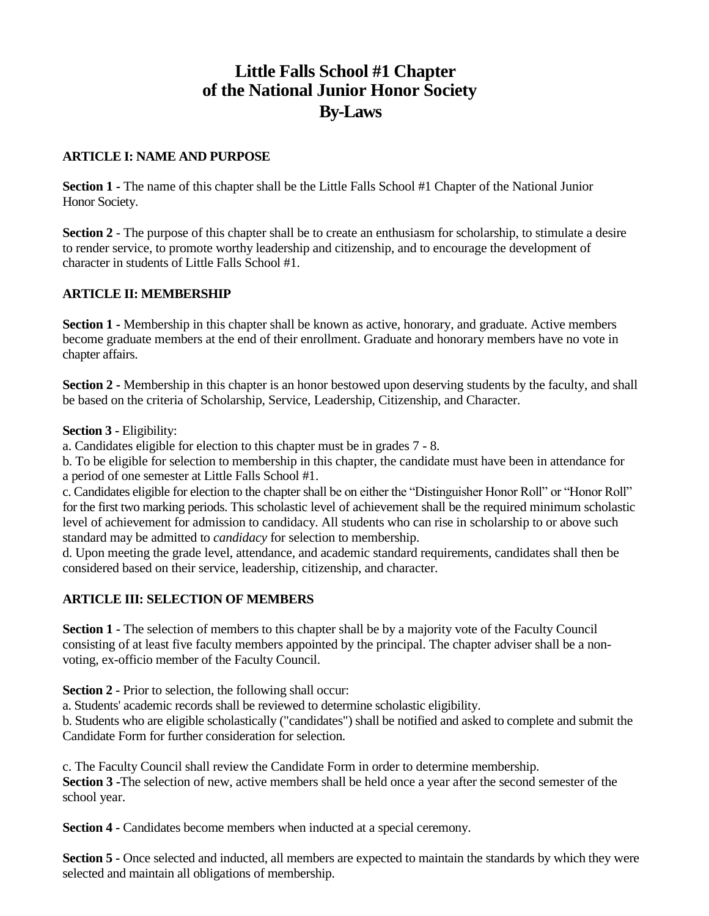# **Little Falls School #1 Chapter of the National Junior Honor Society By-Laws**

### **ARTICLE I: NAME AND PURPOSE**

**Section 1 -** The name of this chapter shall be the Little Falls School #1 Chapter of the National Junior Honor Society.

**Section 2** - The purpose of this chapter shall be to create an enthusiasm for scholarship, to stimulate a desire to render service, to promote worthy leadership and citizenship, and to encourage the development of character in students of Little Falls School #1.

## **ARTICLE II: MEMBERSHIP**

**Section 1 -** Membership in this chapter shall be known as active, honorary, and graduate. Active members become graduate members at the end of their enrollment. Graduate and honorary members have no vote in chapter affairs.

**Section 2** - Membership in this chapter is an honor bestowed upon deserving students by the faculty, and shall be based on the criteria of Scholarship, Service, Leadership, Citizenship, and Character.

**Section 3 -** Eligibility:

a. Candidates eligible for election to this chapter must be in grades 7 - 8.

b. To be eligible for selection to membership in this chapter, the candidate must have been in attendance for a period of one semester at Little Falls School #1.

c. Candidates eligible for election to the chapter shall be on either the "Distinguisher Honor Roll" or "Honor Roll" for the first two marking periods. This scholastic level of achievement shall be the required minimum scholastic level of achievement for admission to candidacy. All students who can rise in scholarship to or above such standard may be admitted to *candidacy* for selection to membership.

d. Upon meeting the grade level, attendance, and academic standard requirements, candidates shall then be considered based on their service, leadership, citizenship, and character.

#### **ARTICLE III: SELECTION OF MEMBERS**

**Section 1 -** The selection of members to this chapter shall be by a majority vote of the Faculty Council consisting of at least five faculty members appointed by the principal. The chapter adviser shall be a nonvoting, ex-officio member of the Faculty Council.

**Section 2 -** Prior to selection, the following shall occur:

a. Students' academic records shall be reviewed to determine scholastic eligibility.

b. Students who are eligible scholastically ("candidates") shall be notified and asked to complete and submit the Candidate Form for further consideration for selection.

c. The Faculty Council shall review the Candidate Form in order to determine membership. **Section 3 -**The selection of new, active members shall be held once a year after the second semester of the school year.

**Section 4 -** Candidates become members when inducted at a special ceremony.

**Section 5 -** Once selected and inducted, all members are expected to maintain the standards by which they were selected and maintain all obligations of membership.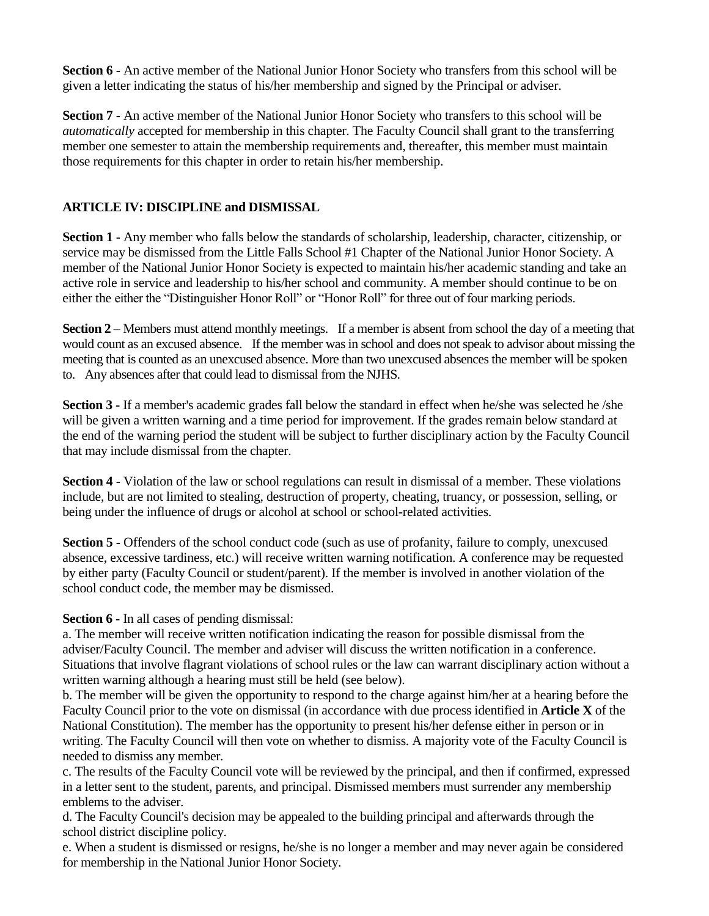**Section 6 -** An active member of the National Junior Honor Society who transfers from this school will be given a letter indicating the status of his/her membership and signed by the Principal or adviser.

**Section 7 -** An active member of the National Junior Honor Society who transfers to this school will be *automatically* accepted for membership in this chapter. The Faculty Council shall grant to the transferring member one semester to attain the membership requirements and, thereafter, this member must maintain those requirements for this chapter in order to retain his/her membership.

## **ARTICLE IV: DISCIPLINE and DISMISSAL**

**Section 1 -** Any member who falls below the standards of scholarship, leadership, character, citizenship, or service may be dismissed from the Little Falls School #1 Chapter of the National Junior Honor Society. A member of the National Junior Honor Society is expected to maintain his/her academic standing and take an active role in service and leadership to his/her school and community. A member should continue to be on either the either the "Distinguisher Honor Roll" or "Honor Roll" for three out of four marking periods.

**Section 2** – Members must attend monthly meetings. If a member is absent from school the day of a meeting that would count as an excused absence. If the member was in school and does not speak to advisor about missing the meeting that is counted as an unexcused absence. More than two unexcused absences the member will be spoken to. Any absences after that could lead to dismissal from the NJHS.

**Section 3 -** If a member's academic grades fall below the standard in effect when he/she was selected he/she will be given a written warning and a time period for improvement. If the grades remain below standard at the end of the warning period the student will be subject to further disciplinary action by the Faculty Council that may include dismissal from the chapter.

**Section 4 -** Violation of the law or school regulations can result in dismissal of a member. These violations include, but are not limited to stealing, destruction of property, cheating, truancy, or possession, selling, or being under the influence of drugs or alcohol at school or school-related activities.

**Section 5 -** Offenders of the school conduct code (such as use of profanity, failure to comply, unexcused absence, excessive tardiness, etc.) will receive written warning notification. A conference may be requested by either party (Faculty Council or student/parent). If the member is involved in another violation of the school conduct code, the member may be dismissed.

## **Section 6 -** In all cases of pending dismissal:

a. The member will receive written notification indicating the reason for possible dismissal from the adviser/Faculty Council. The member and adviser will discuss the written notification in a conference. Situations that involve flagrant violations of school rules or the law can warrant disciplinary action without a written warning although a hearing must still be held (see below).

b. The member will be given the opportunity to respond to the charge against him/her at a hearing before the Faculty Council prior to the vote on dismissal (in accordance with due process identified in **Article X** of the National Constitution). The member has the opportunity to present his/her defense either in person or in writing. The Faculty Council will then vote on whether to dismiss. A majority vote of the Faculty Council is needed to dismiss any member.

c. The results of the Faculty Council vote will be reviewed by the principal, and then if confirmed, expressed in a letter sent to the student, parents, and principal. Dismissed members must surrender any membership emblems to the adviser.

d. The Faculty Council's decision may be appealed to the building principal and afterwards through the school district discipline policy.

e. When a student is dismissed or resigns, he/she is no longer a member and may never again be considered for membership in the National Junior Honor Society.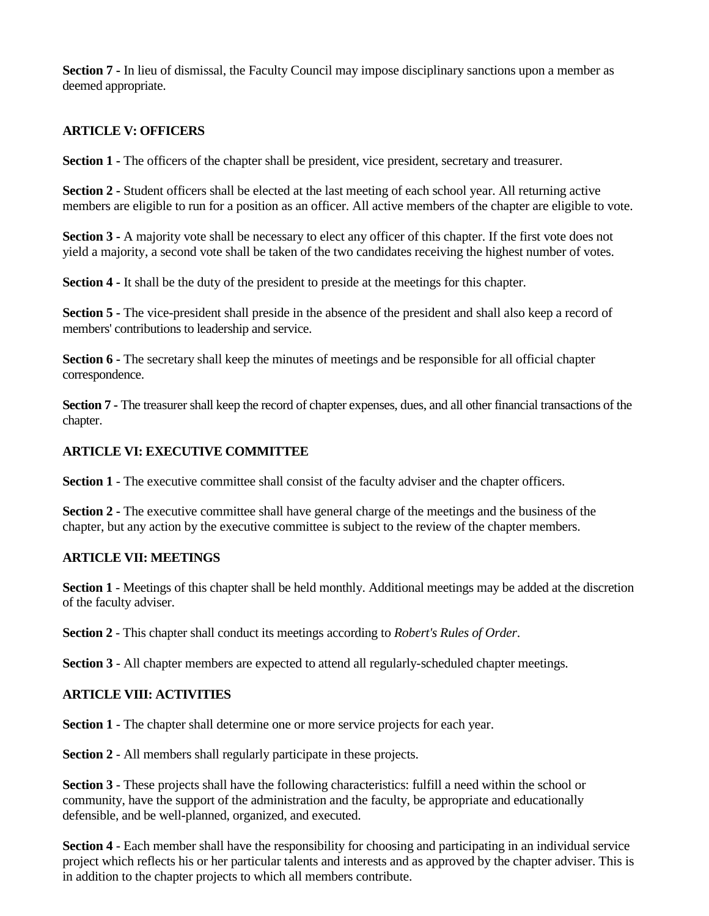**Section 7 -** In lieu of dismissal, the Faculty Council may impose disciplinary sanctions upon a member as deemed appropriate.

## **ARTICLE V: OFFICERS**

**Section 1 -** The officers of the chapter shall be president, vice president, secretary and treasurer.

**Section 2 -** Student officers shall be elected at the last meeting of each school year. All returning active members are eligible to run for a position as an officer. All active members of the chapter are eligible to vote.

**Section 3 -** A majority vote shall be necessary to elect any officer of this chapter. If the first vote does not yield a majority, a second vote shall be taken of the two candidates receiving the highest number of votes.

**Section 4 -** It shall be the duty of the president to preside at the meetings for this chapter.

**Section 5** - The vice-president shall preside in the absence of the president and shall also keep a record of members' contributions to leadership and service.

**Section 6** - The secretary shall keep the minutes of meetings and be responsible for all official chapter correspondence.

**Section 7 -** The treasurer shall keep the record of chapter expenses, dues, and all other financial transactions of the chapter.

#### **ARTICLE VI: EXECUTIVE COMMITTEE**

**Section 1** - The executive committee shall consist of the faculty adviser and the chapter officers.

**Section 2 -** The executive committee shall have general charge of the meetings and the business of the chapter, but any action by the executive committee is subject to the review of the chapter members.

#### **ARTICLE VII: MEETINGS**

**Section 1** - Meetings of this chapter shall be held monthly. Additional meetings may be added at the discretion of the faculty adviser.

**Section 2** - This chapter shall conduct its meetings according to *Robert's Rules of Order*.

**Section 3** - All chapter members are expected to attend all regularly-scheduled chapter meetings.

#### **ARTICLE VIII: ACTIVITIES**

**Section 1** - The chapter shall determine one or more service projects for each year.

**Section 2** - All members shall regularly participate in these projects.

**Section 3** - These projects shall have the following characteristics: fulfill a need within the school or community, have the support of the administration and the faculty, be appropriate and educationally defensible, and be well-planned, organized, and executed.

**Section 4** - Each member shall have the responsibility for choosing and participating in an individual service project which reflects his or her particular talents and interests and as approved by the chapter adviser. This is in addition to the chapter projects to which all members contribute.